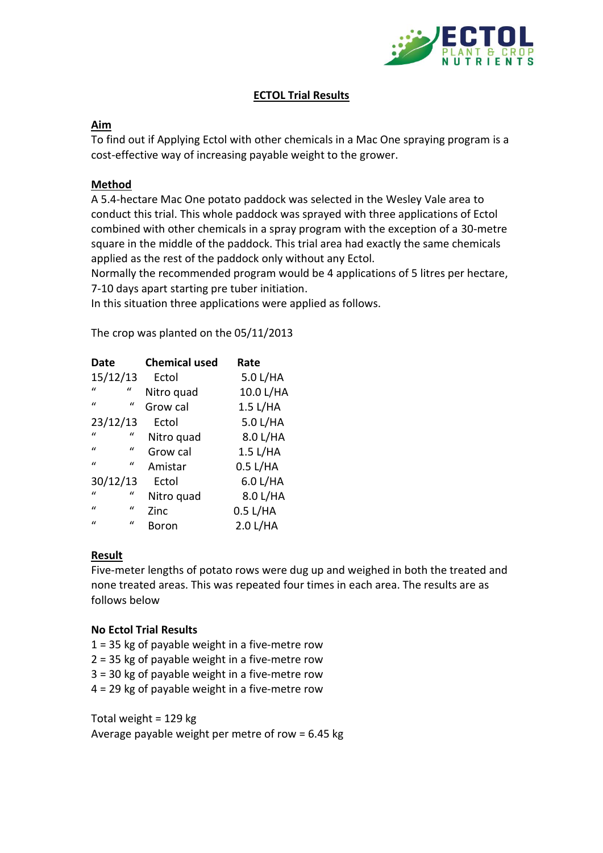

# **ECTOL Trial Results**

# **Aim**

To find out if Applying Ectol with other chemicals in a Mac One spraying program is a cost-effective way of increasing payable weight to the grower.

# **Method**

A 5.4-hectare Mac One potato paddock was selected in the Wesley Vale area to conduct this trial. This whole paddock was sprayed with three applications of Ectol combined with other chemicals in a spray program with the exception of a 30-metre square in the middle of the paddock. This trial area had exactly the same chemicals applied as the rest of the paddock only without any Ectol.

Normally the recommended program would be 4 applications of 5 litres per hectare, 7-10 days apart starting pre tuber initiation.

In this situation three applications were applied as follows.

The crop was planted on the 05/11/2013

| Date                          | <b>Chemical used</b> | Rate      |
|-------------------------------|----------------------|-----------|
| 15/12/13                      | Ectol                | 5.0 L/HA  |
| $\bf{u}$<br>$\iota$           | Nitro quad           | 10.0 L/HA |
| $\mathbf{u}$<br>$\mathcal{U}$ | Grow cal             | 1.5 L/HA  |
| 23/12/13                      | Ectol                | 5.0 L/HA  |
| $\mathbf{u}$<br>$\iota$       | Nitro quad           | 8.0 L/HA  |
| $\mathbf{u}$<br>$\iota$       | Grow cal             | 1.5 L/HA  |
| $\mathbf{u}$<br>$\bf{u}$      | Amistar              | 0.5 L/HA  |
| 30/12/13                      | Ectol                | 6.0 L/HA  |
| $\mathbf{u}$<br>$\iota$       | Nitro quad           | 8.0 L/HA  |
| $\mathbf{u}$<br>$\iota$       | Zinc                 | 0.5 L/HA  |
| $\mathbf{u}$<br>$\mathbf{u}$  | Boron                | 2.0 L/HA  |

#### **Result**

Five-meter lengths of potato rows were dug up and weighed in both the treated and none treated areas. This was repeated four times in each area. The results are as follows below

#### **No Ectol Trial Results**

- $1 = 35$  kg of payable weight in a five-metre row
- 2 = 35 kg of payable weight in a five-metre row
- 3 = 30 kg of payable weight in a five-metre row
- 4 = 29 kg of payable weight in a five-metre row

Total weight = 129 kg Average payable weight per metre of row = 6.45 kg